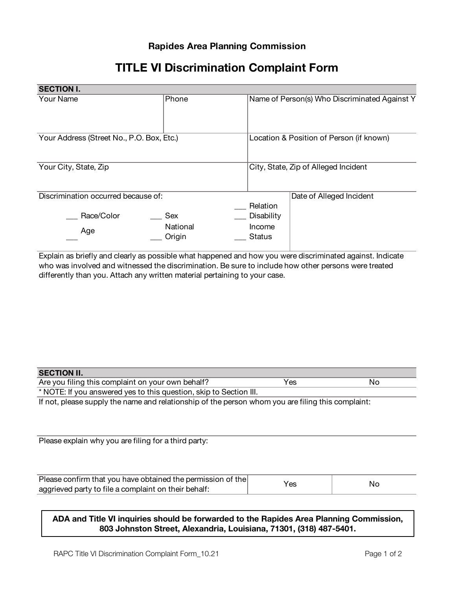## **Rapides Area Planning Commission**

## **TITLE VI Discrimination Complaint Form**

| <b>SECTION I.</b>                         |                    |                                               |
|-------------------------------------------|--------------------|-----------------------------------------------|
| Your Name                                 | Phone              | Name of Person(s) Who Discriminated Against Y |
| Your Address (Street No., P.O. Box, Etc.) |                    | Location & Position of Person (if known)      |
| Your City, State, Zip                     |                    | City, State, Zip of Alleged Incident          |
| Discrimination occurred because of:       |                    | Date of Alleged Incident<br>Relation          |
| Race/Color                                | Sex                | Disability                                    |
| Age                                       | National<br>Origin | Income<br>Status                              |

Explain as briefly and clearly as possible what happened and how you were discriminated against. Indicate who was involved and witnessed the discrimination. Be sure to include how other persons were treated differently than you. Attach any written material pertaining to your case.

| Are you filing this complaint on your own behalf?                                                 | Yes | No |  |  |  |  |
|---------------------------------------------------------------------------------------------------|-----|----|--|--|--|--|
| * NOTE: If you answered yes to this question, skip to Section III.                                |     |    |  |  |  |  |
| If not, please supply the name and relationship of the person whom you are filing this complaint: |     |    |  |  |  |  |
|                                                                                                   |     |    |  |  |  |  |
|                                                                                                   |     |    |  |  |  |  |
|                                                                                                   |     |    |  |  |  |  |
| Please explain why you are filing for a third party:                                              |     |    |  |  |  |  |
|                                                                                                   |     |    |  |  |  |  |
|                                                                                                   |     |    |  |  |  |  |

| Please confirm that you have obtained the permission of the | Yes | Nc |
|-------------------------------------------------------------|-----|----|
| aggrieved party to file a complaint on their behalf:        |     |    |

**ADA and Title VI inquiries should be forwarded to the Rapides Area Planning Commission, 803 Johnston Street, Alexandria, Louisiana, 71301, (318) 487-5401.**

**SECTION II.**